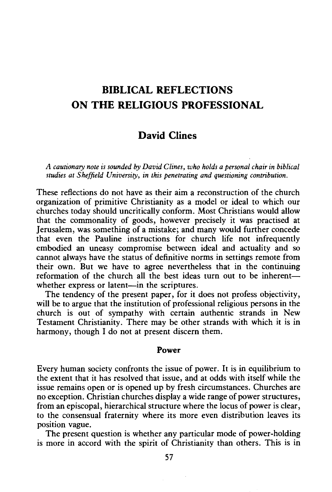# **BIBLICAL REFLECTIONS ON THE RELIGIOUS PROFESSIONAL**

# **David Clines**

*A cautionary note is sounded by David Clines, who holds a personal chair in biblical studies at Sheffield University, in this penetrating and questioning contribution.* 

These reflections do not have as their aim a reconstruction of the church organization of primitive Christianity as a model or ideal to which our churches today should uncritically conform. Most Christians would allow that the commonality of goods, however precisely it was practised at Jerusalem, was something of a mistake; and many would further concede that even the Pauline instructions for church life not infrequently embodied an uneasy compromise between ideal and actuality and so cannot always have the status of definitive norms in settings remote from their own. But we have to agree nevertheless that in the continuing reformation of the church all the best ideas turn out to be inherentwhether express or latent-in the scriptures.

The tendency of the present paper, for it does not profess objectivity, will be to argue that the institution of professional religious persons in the church is out of sympathy with certain authentic strands in New Testament Christianity. There may be other strands with which it is in harmony, though I do not at present discern them.

#### **Power**

Every human society confronts the issue of power. It is in equilibrium to the extent that it has resolved that issue, and at odds with itself while the issue remains open or is opened up by fresh circumstances. Churches are no exception. Christian churches display a wide range of power structures, from an episcopal, hierarchical structure where the locus of power is clear, to the consensual fraternity where its more even distribution leaves its position vague.

The present question is whether any particular mode of power-holding is more in accord with the spirit of Christianity than others. This is in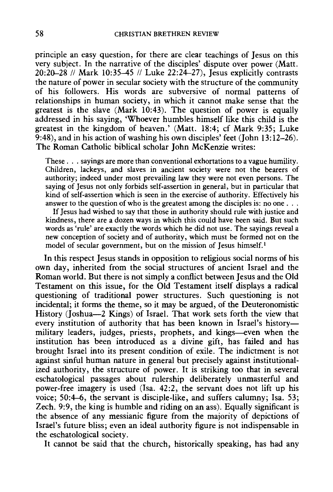principle an easy question, for there are clear teachings of Jesus on this very subject. In the narrative of the disciples' dispute over power (Matt. 20:20-28 // Mark 10:35-45 // Luke 22:24-27), Jesus explicitly contrasts the nature of power in secular society with the structure of the community of his followers. His words are subversive of normal patterns of relationships in human society, in which it cannot make sense that the greatest is the slave (Mark 10:43). The question of power is equally addressed in his saying, 'Whoever humbles himself like this child is the greatest in the kingdom of heaven.' (Matt. 18:4; cf Mark 9:35; Luke 9:48), and in his action of washing his own disciples' feet (John 13: 12-26). The Roman Catholic biblical scholar John McKenzie writes:

These ... sayings are more than conventional exhortations to a vague humility. Children, lackeys, and slaves in ancient society were not the bearers of authority; indeed under most prevailing law they were not even persons. The saying of Jesus not only forbids self-assertion in general, but in particular that kind of self-assertion which is seen in the exercise of authority. Effectively his answer to the question of who is the greatest among the disciples is: no one  $\ldots$ .

If Jesus had wished to say that those in authority should rule with justice and kindness, there are a dozen ways in which this could have been said. But such words as 'rule' are exactly the words which he did not use. The sayings reveal a new conception of society and of authority, which must be formed not on the model of secular government, but on the mission of Jesus himself.<sup>1</sup>

In this respect Jesus stands in opposition to religious social norms of his own day, inherited from the social structures of ancient Israel and the Roman world. But there is not simply a conflict between Jesus and the Old Testament on this issue, for the Old Testament itself displays a radical questioning of traditional power structures. Such questioning is not incidental; it forms the theme, so it may be argued, of the Deuteronomistic History (Joshua-2 Kings) of Israel. That work sets forth the view that every institution of authority that has been known in Israel's historymilitary leaders, judges, priests, prophets, and kings--even when the institution has been introduced as a divine gift, has failed and has brought Israel into its present condition of exile. The indictment is not against sinful human nature in general but precisely against institutionalized authority, the structure of power. It is striking too that in several eschatological passages about rulership deliberately unmasterful and power-free imagery is used (lsa. 42:2, the servant does not lift up his voice; 50:4-6, the servant is disciple-like, and suffers calumny; Isa. 53; Zech. 9:9, the king is humble and riding on an ass). Equally significant is the absence of any messianic figure from the majority of depictions of Israel's future bliss; even an ideal authority figure is not indispensable in the eschatological society.

It cannot be said that the church, historically speaking, has had any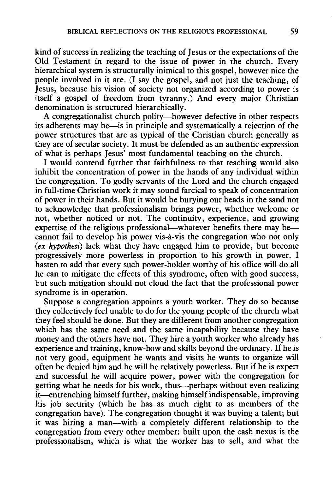kind of success in realizing the teaching of Jesus or the expectations of the Old Testament in regard to the issue of power in the church. Every hierarchical system is structurally inimical to this gospel, however nice the people involved in it are. (I say the gospel, and not just the teaching, of Jesus, because his vision of society not organized according to power is itself a gospel of freedom from tyranny.) And every major Christian denomination is structured hierarchically.

A congregationalist church polity—however defective in other respects its adherents may be-is in principle and systematically a rejection of the power structures that are as typical of the Christian church generally as they are of secular society. It must be defended as an authentic expression of what is perhaps Jesus' most fundamental teaching on the church.

I would contend further that faithfulness to that teaching would also inhibit the concentration of power in the hands of any individual within the congregation. To godly servants of the Lord and the church engaged in full-time Christian work it may sound farcical to speak of concentration of power in their hands. But it would be burying our heads in the sand not to acknowledge that professionalism brings power, whether welcome or not, whether noticed or not. The continuity, experience, and growing expertise of the religious professional—whatever benefits there may be cannot fail to develop his power vis-a-vis the congregation who not only *(ex hypothest)* lack what they have engaged him to provide, but become progressively more powerless in proportion to his growth in power. I hasten to add that every such power-holder worthy of his office will do all he can to mitigate the effects of this syndrome, often with good success, but such mitigation should not cloud the fact that the professional power syndrome is in operation.

Suppose a congregation appoints a youth worker. They do so because they collectively feel unable to do for the young people of the church what they feel should be done. But they are different from another congregation which has the same need and the same incapability because they have money and the others have not. They hire a youth worker who already has experience and training, know-how and skills beyond the ordinary. If he is not very good, equipment he wants and visits he wants to organize will often be denied him and he will be relatively powerless. But if he is expert and successful he will acquire power, power with the congregation for getting what he needs for his work, thus--perhaps without even realizing it-entrenching himself further, making himself indispensable, improving his job security (which he has as much right to as members of the congregation have). The congregation thought it was buying a talent; but it was hiring a man-with a completely different relationship to the congregation from every other member: built upon the cash nexus is the professionalism, which is what the worker has to sell, and what the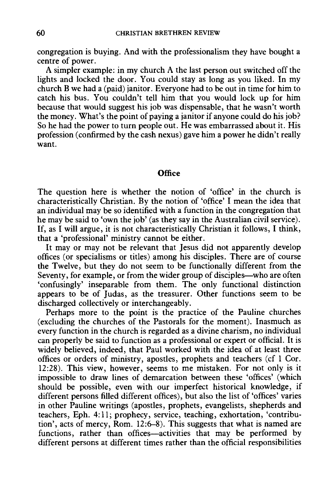congregation is buying. And with the professionalism they have bought a centre of power.

A simpler example: in my church A the last person out switched off the lights and locked the door. You could stay as long as you liked. In my church B we had a (paid) janitor. Everyone had to be out in time for him to catch his bus. You couldn't tell him that you would lock up for him because that would suggest his job was dispensable, that he wasn't worth the money. What's the point of paying a janitor if anyone could do his job? So he had the power to turn people out. He was embarrassed about it. His profession (confirmed by the cash nexus) gave him a power he didn't really want.

### **Office**

The question here is whether the notion of 'office' in the church is characteristically Christian. By the notion of 'office' I mean the idea that an individual may be so identified with a function in the congregation that he may be said to 'own the job' (as they say in the Australian civil service). If, as I will argue, it is not characteristically Christian it follows, I think, that a 'professional' ministry cannot be either.

It may or may not be relevant that Jesus did not apparently develop offices (or specialisms or titles) among his disciples. There are of course the Twelve, but they do not seem to be functionally different from the Seventy, for example, or from the wider group of disciples—who are often 'confusingly' inseparable from them. The only functional distinction appears to be of Judas, as the treasurer. Other functions seem to be discharged collectively or interchangeably.

Perhaps more to the point is the practice of the Pauline churches (excluding the churches of the Pastorals for the moment). Inasmuch as every function in the church is regarded as a divine charism, no individual can properly be said to function as a professional or expert or official. It is widely believed, indeed, that Paul worked with the idea of at least three offices or orders of ministry, apostles, prophets and teachers (cf 1 Cor. 12:28). This view, however, seems to me mistaken. For not only is it impossible to draw lines of demarcation between these 'offices' (which should be possible, even with our imperfect historical knowledge, if different persons filled different offices), but also the list of 'offices' varies in other Pauline writings (apostles, prophets, evangelists, shepherds and teachers, Eph. 4: 11; prophecy, service, teaching, exhortation, 'contribution', acts of mercy, Rom.  $12:6-8$ ). This suggests that what is named are functions, rather than offices-activities that may be performed by different persons at different times rather than the official responsibilities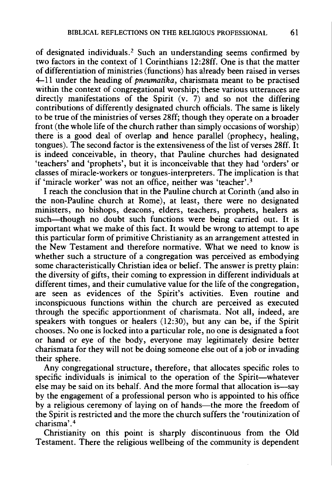of designated individuals. 2 Such an understanding seems confirmed by two factors in the context of 1 Corinthians 12:28ff. One is that the matter of differentiation of ministries (functions) has already been raised in verses 4-11 under the heading of *pneumatika,* charismata meant to be practised within the context of congregational worship; these various utterances are directly manifestations of the Spirit  $(v, 7)$  and so not the differing contributions of differently designated church officials. The same is likely to be true of the ministries of verses 28ff; though they operate on a broader front (the whole life of the church rather than simply occasions of worship) there is a good deal of overlap and hence parallel (prophecy, healing, tongues). The second factor is the extensiveness of the list of verses 28ff. It is indeed conceivable, in theory, that Pauline churches had designated 'teachers' and 'prophets', but it is inconceivable that they had 'orders' or classes of miracle-workers or tongues-interpreters. The implication is that if 'miracle worker' was not an office, neither was 'teacher'. <sup>3</sup>

I reach the conclusion that in the Pauline church at Corinth (and also in the non-Pauline church at Rome), at least, there were no designated ministers, no bishops, deacons, elders, teachers, prophets, healers as such-though no doubt such functions were being carried out. It is important what we make of this fact. It would be wrong to attempt to ape this particular form of primitive Christianity as an arrangement attested in the New Testament and therefore normative. What we need to know is whether such a structure of a congregation was perceived as embodying some characteristically Christian idea or belief. The answer is pretty plain: the diversity of gifts, their coming to expression in different individuals at different times, and their cumulative value for the life of the congregation, are seen as evidences of the Spirit's activities. Even routine and inconspicuous functions within the church are perceived as executed through the specific apportionment of charismata. Not all, indeed, are speakers with tongues or healers (12:30), but any can be, if the Spirit chooses. No one is locked into a particular role, no one is designated a foot or hand or eye of the body, everyone may legitimately desire better charismata for they will not be doing someone else out of a job or invading their sphere.

Any congregational structure, therefore, that allocates specific roles to specific individuals is inimical to the operation of the Spirit-whatever else may be said on its behalf. And the more formal that allocation is—say by the engagement of a professional person who is appointed to his office by a religious ceremony of laying on of hands—the more the freedom of the Spirit is restricted and the more the church suffers the 'routinization of charisma'. 4

Christianity on this point is sharply discontinuous from the Old Testament. There the religious wellbeing of the community is dependent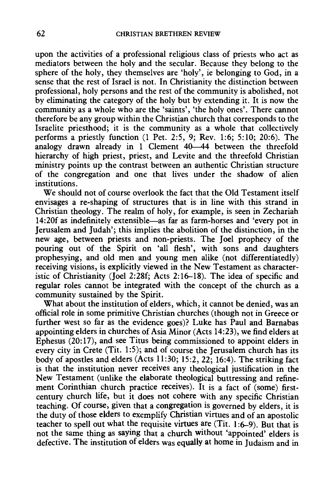upon the activities of a professional religious class of priests who act as mediators between the holy and the secular. Because they belong to the sphere of the holy, they themselves are 'holy', ie belonging to God, in a sense that the rest of Israel is not. In Christianity the distinction between professional, holy persons and the rest of the community is abolished, not by eliminating the category of the holy but by extending it. It is now the community as a whole who are the 'saints', 'the holy ones'. There cannot therefore be any group within the Christian church that corresponds to the Israelite priesthood; it is the community as a whole that collectively performs a priestly function (1 Pet. 2:5, 9; Rev. 1:6; 5: 10; 20:6). The analogy drawn already in 1 Clement  $40-44$  between the threefold hierarchy of high priest, priest, and Levite and the threefold Christian ministry points up the contrast between an authentic Christian structure of the congregation and one that lives under the shadow of alien institutions.

We should not of course overlook the fact that the Old Testament itself envisages a re-shaping of structures that is in line with this strand in Christian theology. The realm of holy, for example, is seen in Zechariah 14:20f as indefinitely extensible-as far as farm-horses and 'every pot in Jerusalem and Judah'; this implies the abolition of the distinction, in the new age, between priests and non-priests. The Joel prophecy of the pouring out of the Spirit on 'all flesh', with sons and daughters prophesying, and old men and young men alike (not differentiatedly) receiving visions, is explicitly viewed in the New Testament as characteristic of Christianity (Joel 2:28f; Acts 2:16-18). The idea of specific and regular roles cannot be integrated with the concept of the church as a community sustained by the Spirit.

What about the institution of elders, which, it cannot be denied, was an official role in some primitive Christian churches (though not in Greece or further west so far as the evidence goes)? Luke has Paul and Barnabas appointing elders in churches of Asia Minor (Acts 14:23), we find elders at Ephesus (20: 17), and see Titus being commissioned to appoint elders in every city in Crete (Tit. 1:5); and of course the Jerusalem church has its body of apostles and elders (Acts 11:30; 15:2, 22; 16:4). The striking fact is that the institution never receives any theological justification in the New Testament (unlike the elaborate theological buttressing and refinement Corinthian church practice receives). It is a fact of (some) firstcentury church life, but it does not cohere with any specific Christian teaching. Of course, given that a congregation is governed by elders, it is the duty of those elders to exemplify Christian virtues and of an apostolic teacher to spell out what the requisite virtues are  $(Tit. 1:6-9)$ . But that is not the same thing as saying that a church without 'appointed' elders is defective. The institution of elders was equally at home in Judaism and in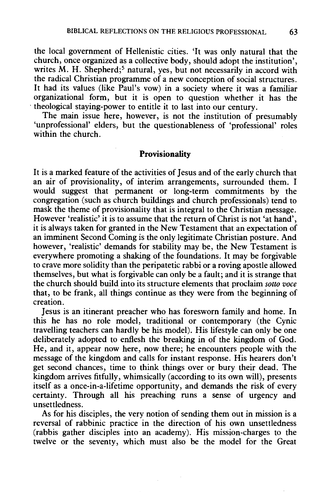the local government of Hellenistic cities. 'It was only natural that the church, once organized as a collective body, should adopt the institution', writes  $M$ . H. Shepherd;<sup>5</sup> natural, yes, but not necessarily in accord with the radical Christian programme of a new conception of social structures. It had its values (like Paul's vow) in a society where it was a familiar organizational form, but it is open to question whether it has the · theological staying-power to entitle it to last into our century.

The main issue here, however, is not the institution of presumably 'unprofessional' elders, but the questionableness of 'professional' roles within the church.

## **Provisionality**

It is a marked feature of the activities of Jesus and of the early church that an air of provisionality, of interim arrangements, surrounded them. I would suggest that permanent or long-term commitments by the congregation (such as church buildings and church professionals) tend to mask the theme of provisionality that is integral to the Christian message. However 'realistic' it is to assume that the return of Christ is not 'at hand'. it is always taken for granted in the New Testament that an expectation of an imminent Second Coming is the only legitimate Christian posture. And however, 'realistic' demands for stability may be, the New Testament is everywhere promoting a shaking of the foundations. It may be forgivable to crave more solidity than the peripatetic rabbi or a roving apostle allowed themselves, but what is forgivable can only be a fault; and it is strange that the church should build into its structure elements that proclaim *sotto voce*  that, to be frank, all things continue as they were from the beginning of creation.

Jesus is an itinerant preacher who has foresworn family and home. In this he has no role model, traditional or contemporary (the Cynic travelling teachers can hardly be his model). His lifestyle can only be one deliberately adopted to enflesh the breaking in of the kingdom of God. He, and it, appear now here, now there; he encounters people with the message of the kingdom and calls for instant response. His hearers don't get second chances, time to think things over or bury their dead. The kingdom arrives fitfully, whimsically (according to its own will), presents itself as a once-in-a-lifetime opportunity, and demands the risk of every certainty. Through all his preaching runs a sense of urgency and unsettledness.

As for his disciples, the very notion of sending them out in mission is a reversal of rabbinic practice in the direction of his own unsettledness (rabbis gather disciples into an academy). His mission-charges to the twelve or the seventy, which must also be the model for the Great